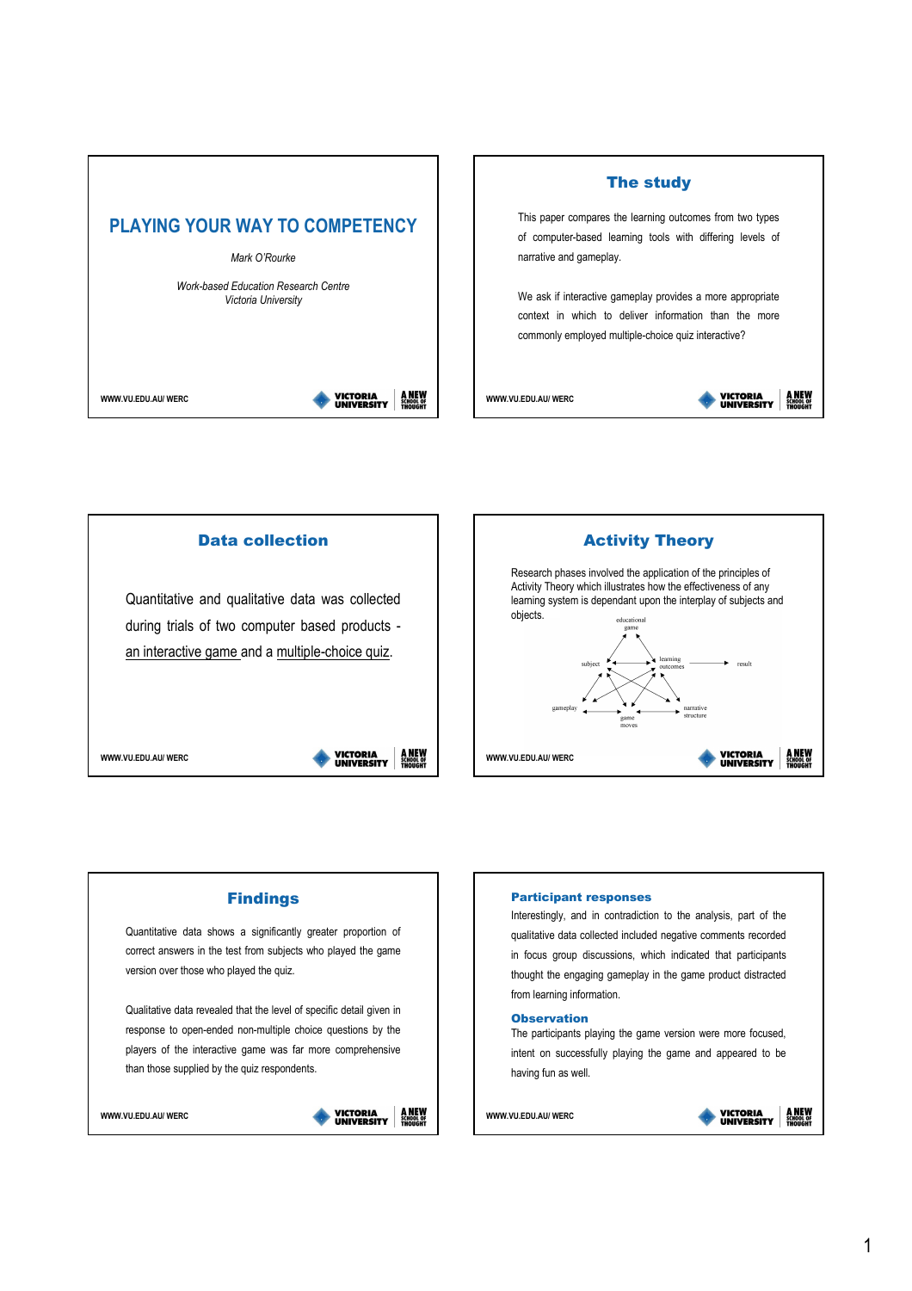









### Participant responses

Interestingly, and in contradiction to the analysis, part of the qualitative data collected included negative comments recorded in focus group discussions, which indicated that participants thought the engaging gameplay in the game product distracted from learning information.

The participants playing the game version were more focused, intent on successfully playing the game and appeared to be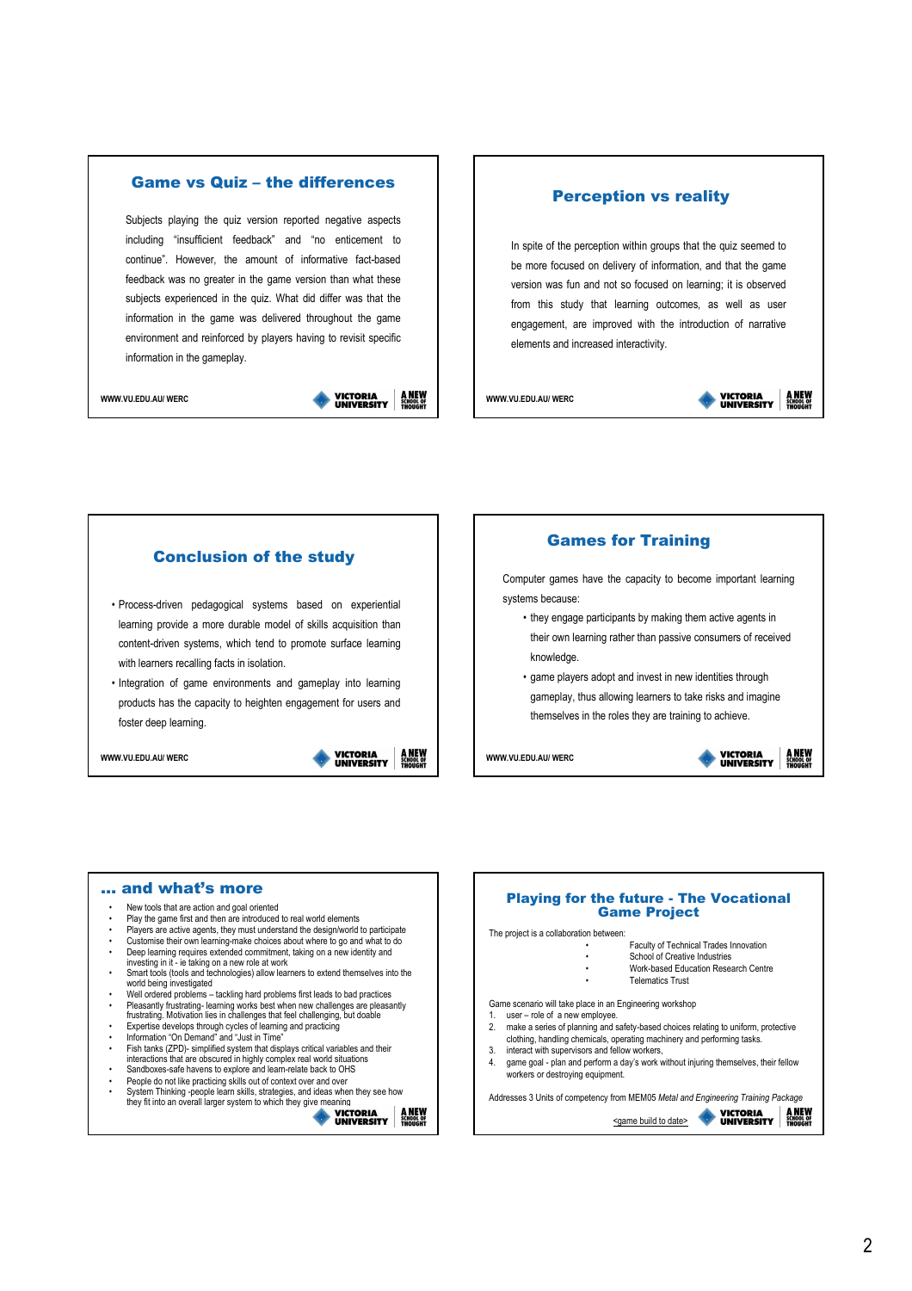# Game vs Quiz – the differences

Subjects playing the quiz version reported negative aspects including "insufficient feedback" and "no enticement to continue". However, the amount of informative fact-based feedback was no greater in the game version than what these subjects experienced in the quiz. What did differ was that the information in the game was delivered throughout the game environment and reinforced by players having to revisit specific information in the gameplay.

WWW.VILEDU.AU/ WERC

**VICTORIA<br>UNIVERSITY A NEW**<br>SCHOOL OF

# Perception vs reality

In spite of the perception within groups that the quiz seemed to be more focused on delivery of information, and that the game version was fun and not so focused on learning; it is observed from this study that learning outcomes, as well as user engagement, are improved with the introduction of narrative elements and increased interactivity.

WWW.VU.EDU.AU/ WERC





## Games for Training

Computer games have the capacity to become important learning systems because:

- they engage participants by making them active agents in their own learning rather than passive consumers of received knowledge.
- game players adopt and invest in new identities through gameplay, thus allowing learners to take risks and imagine themselves in the roles they are training to achieve.



- New tools that are action and goal oriented
- Play the game first and then are introduced to real world elements
- Players are active agents, they must understand the design/world to participate
- Customise their own learning-make choices about where to go and what to do Deep learning requires extended commitment, taking on a new identity and investing in it - ie taking on a new role at work
- Smart tools (tools and technologies) allow learners to extend themselves into the world being investigated
- Well ordered problems tackling hard problems first leads to bad practices
- Pleasantly frustrating- learning works best when new challenges are pleasantly frustrating. Motivation lies in challenges that feel challenging, but doable Expertise develops through cycles of learning and practicing
- Information "On Demand" and "Just in Time"
- Fish tanks (ZPD)- simplified system that displays critical variables and their interactions that are obscured in highly complex real world situations
- Sandboxes-safe havens to explore and learn-relate back to OHS People do not like practicing skills out of context over and over
- 
- System Thinking -people learn skills, strategies, and ideas when they see how they fit into an overall larger system to which they give meaning **A NEW**<br>SCHOOL OF